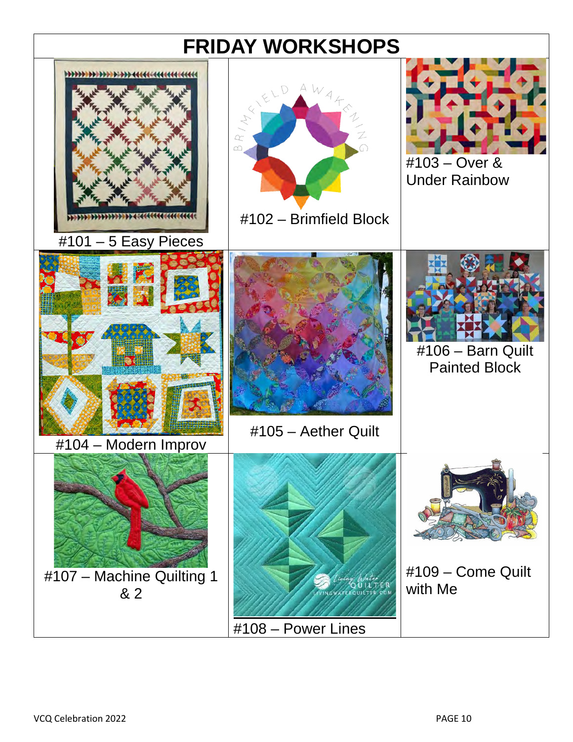# **FRIDAY WORKSHOPS**

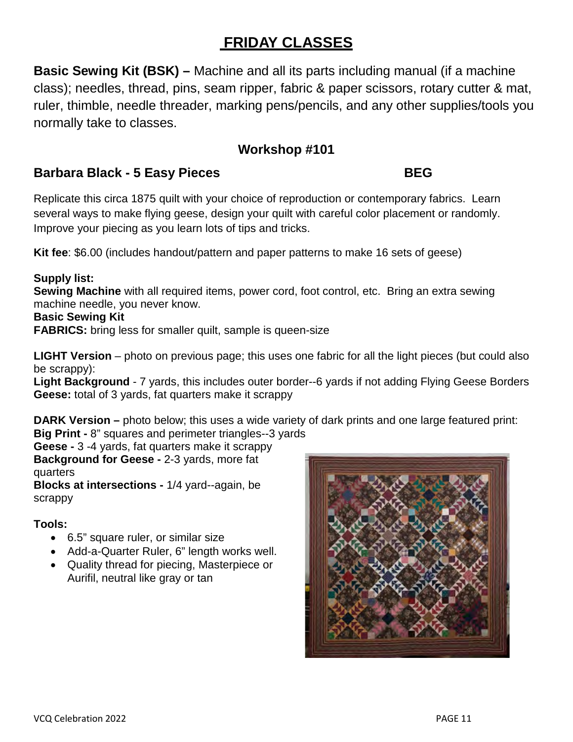## **FRIDAY CLASSES**

**Basic Sewing Kit (BSK) –** Machine and all its parts including manual (if a machine class); needles, thread, pins, seam ripper, fabric & paper scissors, rotary cutter & mat, ruler, thimble, needle threader, marking pens/pencils, and any other supplies/tools you normally take to classes.

## **Workshop #101**

## **Barbara Black - 5 Easy Pieces** BEG

Replicate this circa 1875 quilt with your choice of reproduction or contemporary fabrics. Learn several ways to make flying geese, design your quilt with careful color placement or randomly. Improve your piecing as you learn lots of tips and tricks.

**Kit fee**: \$6.00 (includes handout/pattern and paper patterns to make 16 sets of geese)

#### **Supply list:**

**Sewing Machine** with all required items, power cord, foot control, etc. Bring an extra sewing machine needle, you never know.

#### **Basic Sewing Kit**

**FABRICS:** bring less for smaller quilt, sample is queen-size

**LIGHT Version** – photo on previous page; this uses one fabric for all the light pieces (but could also be scrappy):

**Light Background** - 7 yards, this includes outer border--6 yards if not adding Flying Geese Borders **Geese:** total of 3 yards, fat quarters make it scrappy

**DARK Version** – photo below; this uses a wide variety of dark prints and one large featured print: **Big Print -** 8" squares and perimeter triangles--3 yards

**Geese -** 3 -4 yards, fat quarters make it scrappy **Background for Geese -** 2-3 yards, more fat quarters

**Blocks at intersections -** 1/4 yard--again, be scrappy

### **Tools:**

- 6.5" square ruler, or similar size
- Add-a-Quarter Ruler, 6" length works well.
- Quality thread for piecing, Masterpiece or Aurifil, neutral like gray or tan

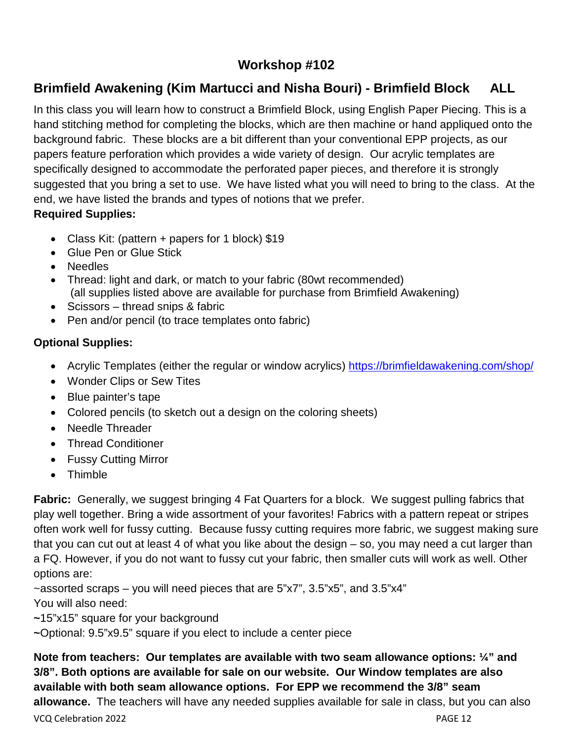## **Workshop #102**

## **Brimfield Awakening (Kim Martucci and Nisha Bouri) - Brimfield Block ALL**

In this class you will learn how to construct a Brimfield Block, using English Paper Piecing. This is a hand stitching method for completing the blocks, which are then machine or hand appliqued onto the background fabric. These blocks are a bit different than your conventional EPP projects, as our papers feature perforation which provides a wide variety of design. Our acrylic templates are specifically designed to accommodate the perforated paper pieces, and therefore it is strongly suggested that you bring a set to use. We have listed what you will need to bring to the class. At the end, we have listed the brands and types of notions that we prefer. **Required Supplies:** 

- Class Kit: (pattern + papers for 1 block) \$19
- Glue Pen or Glue Stick
- Needles
- Thread: light and dark, or match to your fabric (80wt recommended) (all supplies listed above are available for purchase from Brimfield Awakening)
- Scissors thread snips & fabric
- Pen and/or pencil (to trace templates onto fabric)

### **Optional Supplies:**

- Acrylic Templates (either the regular or window acrylics) https://brimfieldawakening.com/shop/
- Wonder Clips or Sew Tites
- Blue painter's tape
- Colored pencils (to sketch out a design on the coloring sheets)
- Needle Threader
- Thread Conditioner
- Fussy Cutting Mirror
- Thimble

**Fabric:** Generally, we suggest bringing 4 Fat Quarters for a block. We suggest pulling fabrics that play well together. Bring a wide assortment of your favorites! Fabrics with a pattern repeat or stripes often work well for fussy cutting. Because fussy cutting requires more fabric, we suggest making sure that you can cut out at least 4 of what you like about the design – so, you may need a cut larger than a FQ. However, if you do not want to fussy cut your fabric, then smaller cuts will work as well. Other options are:

 $\sim$ assorted scraps – you will need pieces that are 5"x7", 3.5"x5", and 3.5"x4" You will also need:

**~**15"x15" square for your background

**~**Optional: 9.5"x9.5" square if you elect to include a center piece

**Note from teachers: Our templates are available with two seam allowance options: ¼" and 3/8". Both options are available for sale on our website. Our Window templates are also available with both seam allowance options. For EPP we recommend the 3/8" seam allowance.** The teachers will have any needed supplies available for sale in class, but you can also

VCQ Celebration 2022 PAGE 12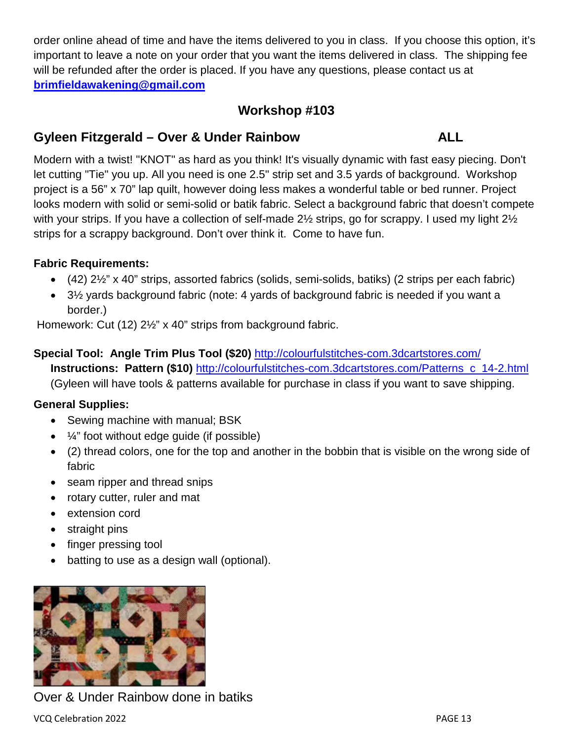order online ahead of time and have the items delivered to you in class. If you choose this option, it's important to leave a note on your order that you want the items delivered in class. The shipping fee will be refunded after the order is placed. If you have any questions, please contact us at **[brimfieldawakening@gmail.com](mailto:brimfieldawakening@gmail.com)** 

## **Workshop #103**

### **Gyleen Fitzgerald – Over & Under Rainbow ALL**

Modern with a twist! "KNOT" as hard as you think! It's visually dynamic with fast easy piecing. Don't let cutting "Tie" you up. All you need is one 2.5" strip set and 3.5 yards of background. Workshop project is a 56" x 70" lap quilt, however doing less makes a wonderful table or bed runner. Project looks modern with solid or semi-solid or batik fabric. Select a background fabric that doesn't compete with your strips. If you have a collection of self-made 2<sup>1</sup>/<sub>2</sub> strips, go for scrappy. I used my light 2<sup>1</sup>/<sub>2</sub> strips for a scrappy background. Don't over think it. Come to have fun.

#### **Fabric Requirements:**

- $\bullet$  (42) 2 $\frac{1}{2}$ " x 40" strips, assorted fabrics (solids, semi-solids, batiks) (2 strips per each fabric)
- 3½ yards background fabric (note: 4 yards of background fabric is needed if you want a border.)

Homework: Cut (12) 2½" x 40" strips from background fabric.

#### **Special Tool: Angle Trim Plus Tool (\$20)** <http://colourfulstitches-com.3dcartstores.com/> **Instructions: Pattern (\$10)** [http://colourfulstitches-com.3dcartstores.com/Patterns\\_c\\_14-2.html](http://colourfulstitches-com.3dcartstores.com/Patterns_c_14-2.html) (Gyleen will have tools & patterns available for purchase in class if you want to save shipping.

### **General Supplies:**

- Sewing machine with manual; BSK
- $\frac{1}{4}$  foot without edge quide (if possible)
- (2) thread colors, one for the top and another in the bobbin that is visible on the wrong side of fabric
- seam ripper and thread snips
- rotary cutter, ruler and mat
- extension cord
- straight pins
- finger pressing tool
- batting to use as a design wall (optional).



Over & Under Rainbow done in batiks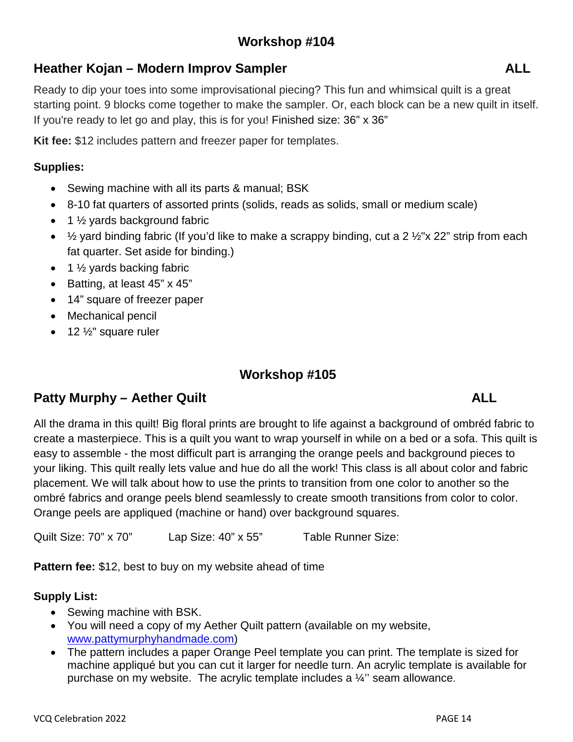## **Heather Kojan – Modern Improv Sampler ALL**

Ready to dip your toes into some improvisational piecing? This fun and whimsical quilt is a great starting point. 9 blocks come together to make the sampler. Or, each block can be a new quilt in itself. If you're ready to let go and play, this is for you! Finished size: 36" x 36"

**Kit fee:** \$12 includes pattern and freezer paper for templates.

### **Supplies:**

- Sewing machine with all its parts & manual; BSK
- 8-10 fat quarters of assorted prints (solids, reads as solids, small or medium scale)
- $\bullet$  1  $\frac{1}{2}$  yards background fabric
- $\frac{1}{2}$  yard binding fabric (If you'd like to make a scrappy binding, cut a 2  $\frac{1}{2}$ "x 22" strip from each fat quarter. Set aside for binding.)
- $\bullet$  1  $\frac{1}{2}$  yards backing fabric
- Batting, at least 45" x 45"
- 14" square of freezer paper
- Mechanical pencil
- $\bullet$  12  $\frac{1}{2}$ " square ruler

## **Workshop #105**

## **Patty Murphy – Aether Quilt ALL**

All the drama in this quilt! Big floral prints are brought to life against a background of ombréd fabric to create a masterpiece. This is a quilt you want to wrap yourself in while on a bed or a sofa. This quilt is easy to assemble - the most difficult part is arranging the orange peels and background pieces to your liking. This quilt really lets value and hue do all the work! This class is all about color and fabric placement. We will talk about how to use the prints to transition from one color to another so the ombré fabrics and orange peels blend seamlessly to create smooth transitions from color to color. Orange peels are appliqued (machine or hand) over background squares.

Quilt Size: 70" x 70" Lap Size: 40" x 55" Table Runner Size:

**Pattern fee:** \$12, best to buy on my website ahead of time

#### **Supply List:**

- Sewing machine with BSK.
- You will need a copy of my Aether Quilt pattern (available on my website, [www.pattymurphyhandmade.com\)](http://www.pattymurphyhandmade.com/)
- The pattern includes a paper Orange Peel template you can print. The template is sized for machine appliqué but you can cut it larger for needle turn. An acrylic template is available for purchase on my website. The acrylic template includes a ¼'' seam allowance.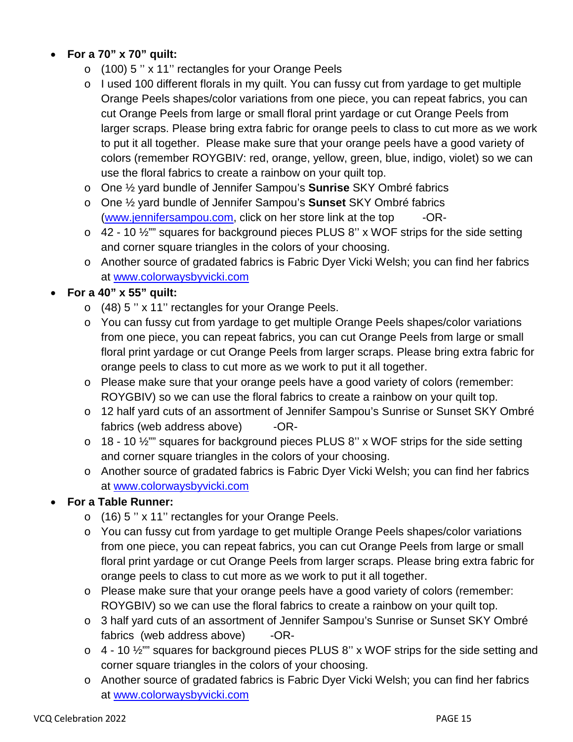- **For a 70" x 70" quilt:**
	- o (100) 5 '' x 11'' rectangles for your Orange Peels
	- o I used 100 different florals in my quilt. You can fussy cut from yardage to get multiple Orange Peels shapes/color variations from one piece, you can repeat fabrics, you can cut Orange Peels from large or small floral print yardage or cut Orange Peels from larger scraps. Please bring extra fabric for orange peels to class to cut more as we work to put it all together. Please make sure that your orange peels have a good variety of colors (remember ROYGBIV: red, orange, yellow, green, blue, indigo, violet) so we can use the floral fabrics to create a rainbow on your quilt top.
	- o One ½ yard bundle of Jennifer Sampou's **Sunrise** SKY Ombré fabrics
	- o One ½ yard bundle of Jennifer Sampou's **Sunset** SKY Ombré fabrics [\(www.jennifersampou.com,](http://www.jennifersampou.com/) click on her store link at the top -OR-
	- $\circ$  42 10  $\frac{1}{2}$ " squares for background pieces PLUS 8" x WOF strips for the side setting and corner square triangles in the colors of your choosing.
	- o Another source of gradated fabrics is Fabric Dyer Vicki Welsh; you can find her fabrics at [www.colorwaysbyvicki.com](http://www.colorwaysbyvicki.com/)

#### • **For a 40" x 55" quilt:**

- o (48) 5 '' x 11'' rectangles for your Orange Peels.
- o You can fussy cut from yardage to get multiple Orange Peels shapes/color variations from one piece, you can repeat fabrics, you can cut Orange Peels from large or small floral print yardage or cut Orange Peels from larger scraps. Please bring extra fabric for orange peels to class to cut more as we work to put it all together.
- o Please make sure that your orange peels have a good variety of colors (remember: ROYGBIV) so we can use the floral fabrics to create a rainbow on your quilt top.
- o 12 half yard cuts of an assortment of Jennifer Sampou's Sunrise or Sunset SKY Ombré fabrics (web address above) -OR-
- $\circ$  18 10  $\frac{1}{2}$ " squares for background pieces PLUS 8" x WOF strips for the side setting and corner square triangles in the colors of your choosing.
- o Another source of gradated fabrics is Fabric Dyer Vicki Welsh; you can find her fabrics at [www.colorwaysbyvicki.com](http://www.colorwaysbyvicki.com/)

#### • **For a Table Runner:**

- o (16) 5 '' x 11'' rectangles for your Orange Peels.
- o You can fussy cut from yardage to get multiple Orange Peels shapes/color variations from one piece, you can repeat fabrics, you can cut Orange Peels from large or small floral print yardage or cut Orange Peels from larger scraps. Please bring extra fabric for orange peels to class to cut more as we work to put it all together.
- o Please make sure that your orange peels have a good variety of colors (remember: ROYGBIV) so we can use the floral fabrics to create a rainbow on your quilt top.
- o 3 half yard cuts of an assortment of Jennifer Sampou's Sunrise or Sunset SKY Ombré fabrics (web address above) -OR-
- $\circ$  4 10  $\frac{1}{2}$ " squares for background pieces PLUS 8" x WOF strips for the side setting and corner square triangles in the colors of your choosing.
- o Another source of gradated fabrics is Fabric Dyer Vicki Welsh; you can find her fabrics at [www.colorwaysbyvicki.com](http://www.colorwaysbyvicki.com/)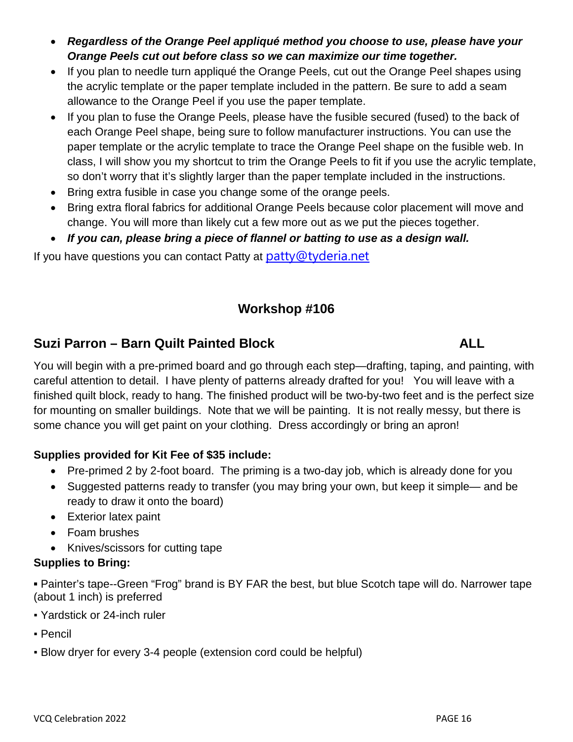- *Regardless of the Orange Peel appliqué method you choose to use, please have your Orange Peels cut out before class so we can maximize our time together.*
- If you plan to needle turn appliqué the Orange Peels, cut out the Orange Peel shapes using the acrylic template or the paper template included in the pattern. Be sure to add a seam allowance to the Orange Peel if you use the paper template.
- If you plan to fuse the Orange Peels, please have the fusible secured (fused) to the back of each Orange Peel shape, being sure to follow manufacturer instructions. You can use the paper template or the acrylic template to trace the Orange Peel shape on the fusible web. In class, I will show you my shortcut to trim the Orange Peels to fit if you use the acrylic template, so don't worry that it's slightly larger than the paper template included in the instructions.
- Bring extra fusible in case you change some of the orange peels.
- Bring extra floral fabrics for additional Orange Peels because color placement will move and change. You will more than likely cut a few more out as we put the pieces together.
- *If you can, please bring a piece of flannel or batting to use as a design wall.*

If you have questions you can contact Patty at  $\frac{\partial u}{\partial x}$  patty  $\frac{\partial v}{\partial y}$ 

## **Workshop #106**

## **Suzi Parron – Barn Quilt Painted Block ALL**

You will begin with a pre-primed board and go through each step—drafting, taping, and painting, with careful attention to detail. I have plenty of patterns already drafted for you! You will leave with a finished quilt block, ready to hang. The finished product will be two-by-two feet and is the perfect size for mounting on smaller buildings. Note that we will be painting. It is not really messy, but there is some chance you will get paint on your clothing. Dress accordingly or bring an apron!

### **Supplies provided for Kit Fee of \$35 include:**

- Pre-primed 2 by 2-foot board. The priming is a two-day job, which is already done for you
- Suggested patterns ready to transfer (you may bring your own, but keep it simple— and be ready to draw it onto the board)
- Exterior latex paint
- Foam brushes
- Knives/scissors for cutting tape

### **Supplies to Bring:**

**▪** Painter's tape--Green "Frog" brand is BY FAR the best, but blue Scotch tape will do. Narrower tape (about 1 inch) is preferred

- Yardstick or 24-inch ruler
- Pencil
- Blow dryer for every 3-4 people (extension cord could be helpful)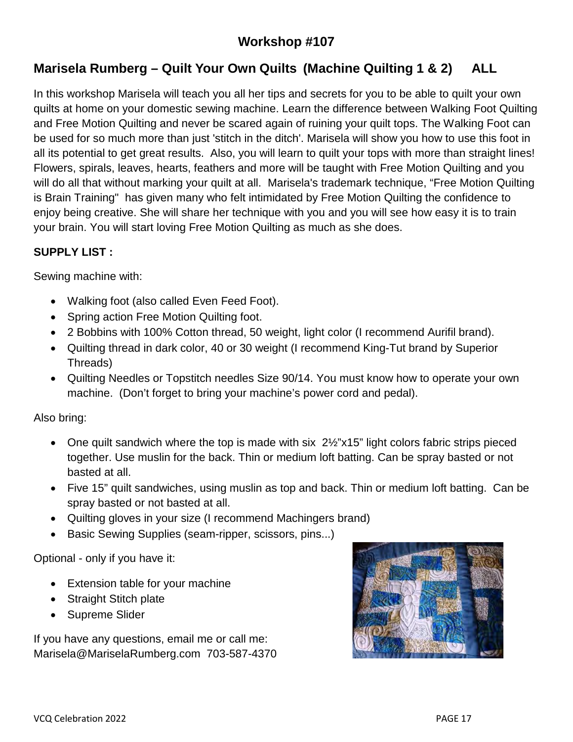## **Workshop #107**

## **Marisela Rumberg – Quilt Your Own Quilts (Machine Quilting 1 & 2) ALL**

In this workshop Marisela will teach you all her tips and secrets for you to be able to quilt your own quilts at home on your domestic sewing machine. Learn the difference between Walking Foot Quilting and Free Motion Quilting and never be scared again of ruining your quilt tops. The Walking Foot can be used for so much more than just 'stitch in the ditch'. Marisela will show you how to use this foot in all its potential to get great results. Also, you will learn to quilt your tops with more than straight lines! Flowers, spirals, leaves, hearts, feathers and more will be taught with Free Motion Quilting and you will do all that without marking your quilt at all. Marisela's trademark technique, "Free Motion Quilting is Brain Training" has given many who felt intimidated by Free Motion Quilting the confidence to enjoy being creative. She will share her technique with you and you will see how easy it is to train your brain. You will start loving Free Motion Quilting as much as she does.

#### **SUPPLY LIST :**

Sewing machine with:

- Walking foot (also called Even Feed Foot).
- Spring action Free Motion Quilting foot.
- 2 Bobbins with 100% Cotton thread, 50 weight, light color (I recommend Aurifil brand).
- Quilting thread in dark color, 40 or 30 weight (I recommend King-Tut brand by Superior Threads)
- Quilting Needles or Topstitch needles Size 90/14. You must know how to operate your own machine. (Don't forget to bring your machine's power cord and pedal).

Also bring:

- One quilt sandwich where the top is made with six 2½"x15" light colors fabric strips pieced together. Use muslin for the back. Thin or medium loft batting. Can be spray basted or not basted at all.
- Five 15" quilt sandwiches, using muslin as top and back. Thin or medium loft batting. Can be spray basted or not basted at all.
- Quilting gloves in your size (I recommend Machingers brand)
- Basic Sewing Supplies (seam-ripper, scissors, pins...)

Optional - only if you have it:

- Extension table for your machine
- Straight Stitch plate
- Supreme Slider

If you have any questions, email me or call me: Marisela@MariselaRumberg.com 703-587-4370

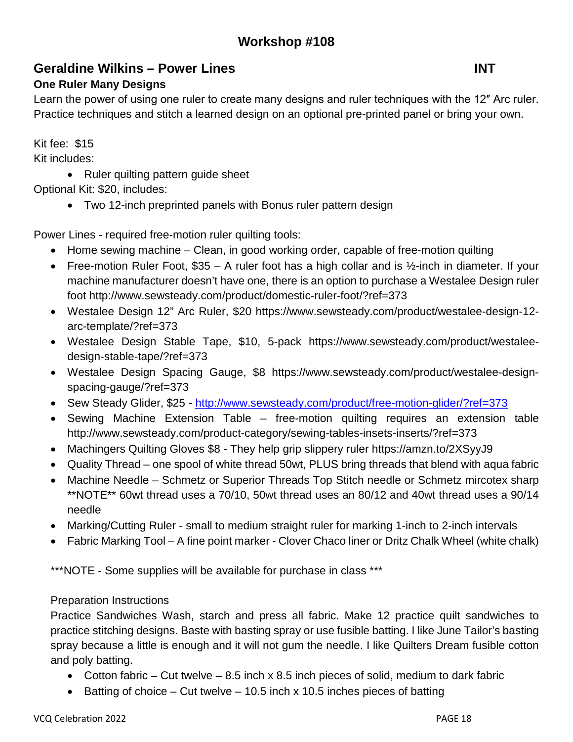## **Geraldine Wilkins – Power Lines INT**

### **One Ruler Many Designs**

Learn the power of using one ruler to create many designs and ruler techniques with the 12″ Arc ruler. Practice techniques and stitch a learned design on an optional pre-printed panel or bring your own.

Kit fee: \$15

Kit includes:

• Ruler quilting pattern guide sheet

Optional Kit: \$20, includes:

• Two 12-inch preprinted panels with Bonus ruler pattern design

Power Lines - required free-motion ruler quilting tools:

- Home sewing machine Clean, in good working order, capable of free-motion quilting
- Free-motion Ruler Foot,  $$35 A$  ruler foot has a high collar and is  $\frac{1}{2}$ -inch in diameter. If your machine manufacturer doesn't have one, there is an option to purchase a Westalee Design ruler foot http://www.sewsteady.com/product/domestic-ruler-foot/?ref=373
- Westalee Design 12" Arc Ruler, \$20 https://www.sewsteady.com/product/westalee-design-12 arc-template/?ref=373
- Westalee Design Stable Tape, \$10, 5-pack https://www.sewsteady.com/product/westaleedesign-stable-tape/?ref=373
- Westalee Design Spacing Gauge, \$8 https://www.sewsteady.com/product/westalee-designspacing-gauge/?ref=373
- Sew Steady Glider, \$25 -<http://www.sewsteady.com/product/free-motion-glider/?ref=373>
- Sewing Machine Extension Table free-motion quilting requires an extension table http://www.sewsteady.com/product-category/sewing-tables-insets-inserts/?ref=373
- Machingers Quilting Gloves \$8 They help grip slippery ruler https://amzn.to/2XSyyJ9
- Quality Thread one spool of white thread 50wt, PLUS bring threads that blend with aqua fabric
- Machine Needle Schmetz or Superior Threads Top Stitch needle or Schmetz mircotex sharp \*\*NOTE\*\* 60wt thread uses a 70/10, 50wt thread uses an 80/12 and 40wt thread uses a 90/14 needle
- Marking/Cutting Ruler small to medium straight ruler for marking 1-inch to 2-inch intervals
- Fabric Marking Tool A fine point marker Clover Chaco liner or Dritz Chalk Wheel (white chalk)

\*\*\*NOTE - Some supplies will be available for purchase in class \*\*\*

### Preparation Instructions

Practice Sandwiches Wash, starch and press all fabric. Make 12 practice quilt sandwiches to practice stitching designs. Baste with basting spray or use fusible batting. I like June Tailor's basting spray because a little is enough and it will not gum the needle. I like Quilters Dream fusible cotton and poly batting.

- Cotton fabric Cut twelve 8.5 inch  $\times$  8.5 inch pieces of solid, medium to dark fabric
- Batting of choice Cut twelve 10.5 inch x 10.5 inches pieces of batting